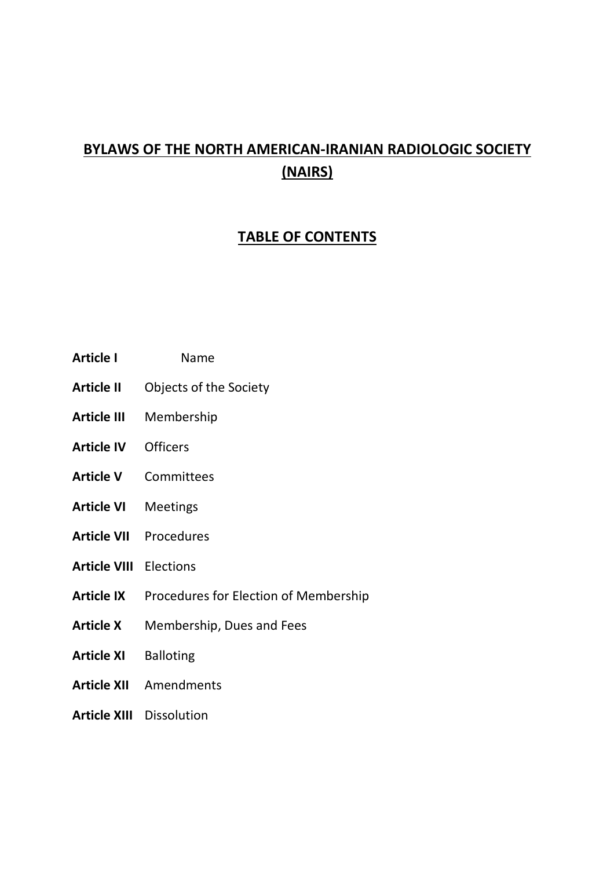# **BYLAWS OF THE NORTH AMERICAN-IRANIAN RADIOLOGIC SOCIETY (NAIRS)**

# **TABLE OF CONTENTS**

- **Article I** Name
- **Article II** Objects of the Society
- **Article III** Membership
- **Article IV** Officers
- **Article V** Committees
- **Article VI** Meetings
- **Article VII** Procedures
- **Article VIII** Elections
- **Article IX** Procedures for Election of Membership
- **Article X** Membership, Dues and Fees
- **Article XI** Balloting
- **Article XII** Amendments
- **Article XIII** Dissolution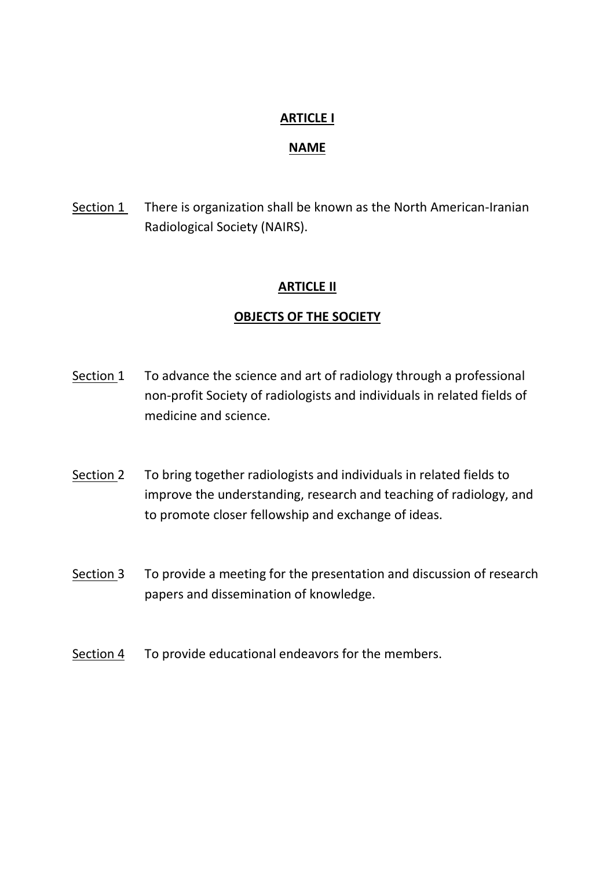### **ARTICLE I**

#### **NAME**

Section 1 There is organization shall be known as the North American-Iranian Radiological Society (NAIRS).

### **ARTICLE II**

### **OBJECTS OF THE SOCIETY**

- Section 1 To advance the science and art of radiology through a professional non-profit Society of radiologists and individuals in related fields of medicine and science.
- Section 2 To bring together radiologists and individuals in related fields to improve the understanding, research and teaching of radiology, and to promote closer fellowship and exchange of ideas.
- Section 3 To provide a meeting for the presentation and discussion of research papers and dissemination of knowledge.
- Section 4 To provide educational endeavors for the members.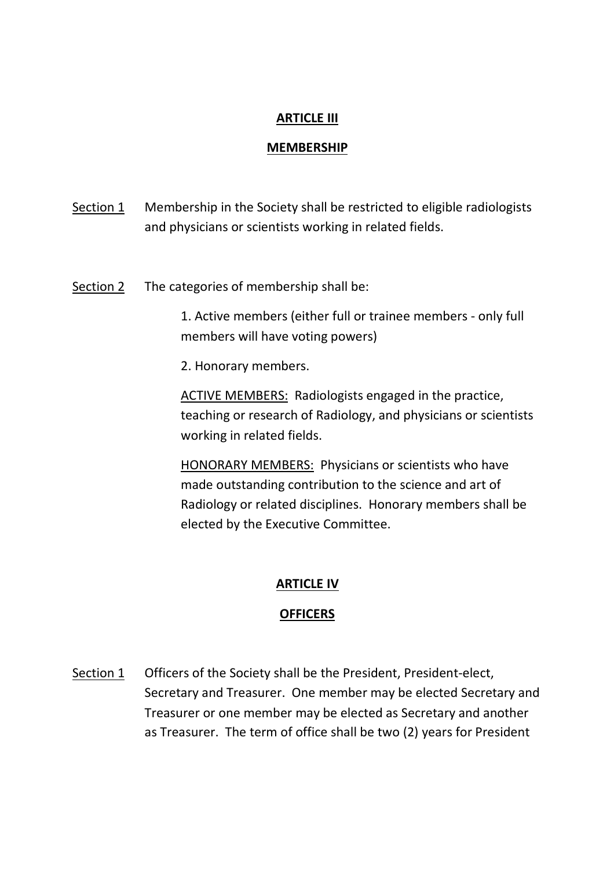# **ARTICLE III**

### **MEMBERSHIP**

- Section 1 Membership in the Society shall be restricted to eligible radiologists and physicians or scientists working in related fields.
- Section 2 The categories of membership shall be:

1. Active members (either full or trainee members - only full members will have voting powers)

2. Honorary members.

ACTIVE MEMBERS: Radiologists engaged in the practice, teaching or research of Radiology, and physicians or scientists working in related fields.

HONORARY MEMBERS: Physicians or scientists who have made outstanding contribution to the science and art of Radiology or related disciplines. Honorary members shall be elected by the Executive Committee.

# **ARTICLE IV**

# **OFFICERS**

Section 1 Officers of the Society shall be the President, President-elect, Secretary and Treasurer. One member may be elected Secretary and Treasurer or one member may be elected as Secretary and another as Treasurer. The term of office shall be two (2) years for President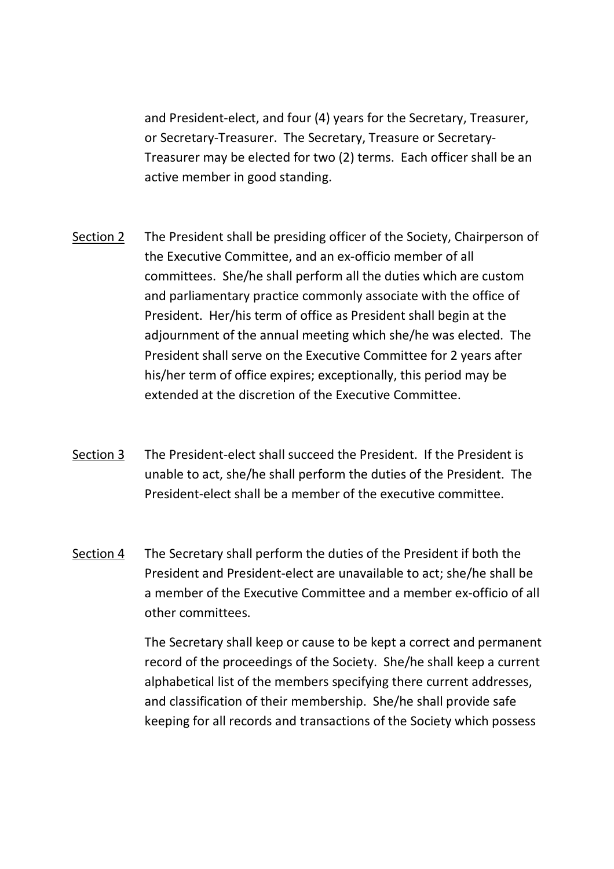and President-elect, and four (4) years for the Secretary, Treasurer, or Secretary-Treasurer. The Secretary, Treasure or Secretary-Treasurer may be elected for two (2) terms. Each officer shall be an active member in good standing.

- Section 2 The President shall be presiding officer of the Society, Chairperson of the Executive Committee, and an ex-officio member of all committees. She/he shall perform all the duties which are custom and parliamentary practice commonly associate with the office of President. Her/his term of office as President shall begin at the adjournment of the annual meeting which she/he was elected. The President shall serve on the Executive Committee for 2 years after his/her term of office expires; exceptionally, this period may be extended at the discretion of the Executive Committee.
- Section 3 The President-elect shall succeed the President. If the President is unable to act, she/he shall perform the duties of the President. The President-elect shall be a member of the executive committee.
- Section 4 The Secretary shall perform the duties of the President if both the President and President-elect are unavailable to act; she/he shall be a member of the Executive Committee and a member ex-officio of all other committees.

The Secretary shall keep or cause to be kept a correct and permanent record of the proceedings of the Society. She/he shall keep a current alphabetical list of the members specifying there current addresses, and classification of their membership. She/he shall provide safe keeping for all records and transactions of the Society which possess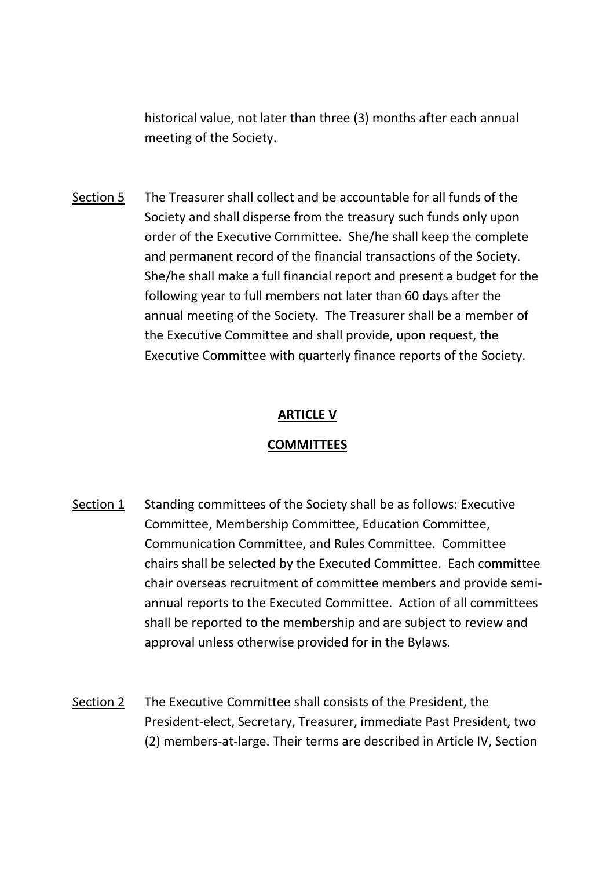historical value, not later than three (3) months after each annual meeting of the Society.

Section 5 The Treasurer shall collect and be accountable for all funds of the Society and shall disperse from the treasury such funds only upon order of the Executive Committee. She/he shall keep the complete and permanent record of the financial transactions of the Society. She/he shall make a full financial report and present a budget for the following year to full members not later than 60 days after the annual meeting of the Society. The Treasurer shall be a member of the Executive Committee and shall provide, upon request, the Executive Committee with quarterly finance reports of the Society.

### **ARTICLE V**

#### **COMMITTEES**

- Section 1 Standing committees of the Society shall be as follows: Executive Committee, Membership Committee, Education Committee, Communication Committee, and Rules Committee. Committee chairs shall be selected by the Executed Committee. Each committee chair overseas recruitment of committee members and provide semiannual reports to the Executed Committee. Action of all committees shall be reported to the membership and are subject to review and approval unless otherwise provided for in the Bylaws.
- Section 2 The Executive Committee shall consists of the President, the President-elect, Secretary, Treasurer, immediate Past President, two (2) members-at-large. Their terms are described in Article IV, Section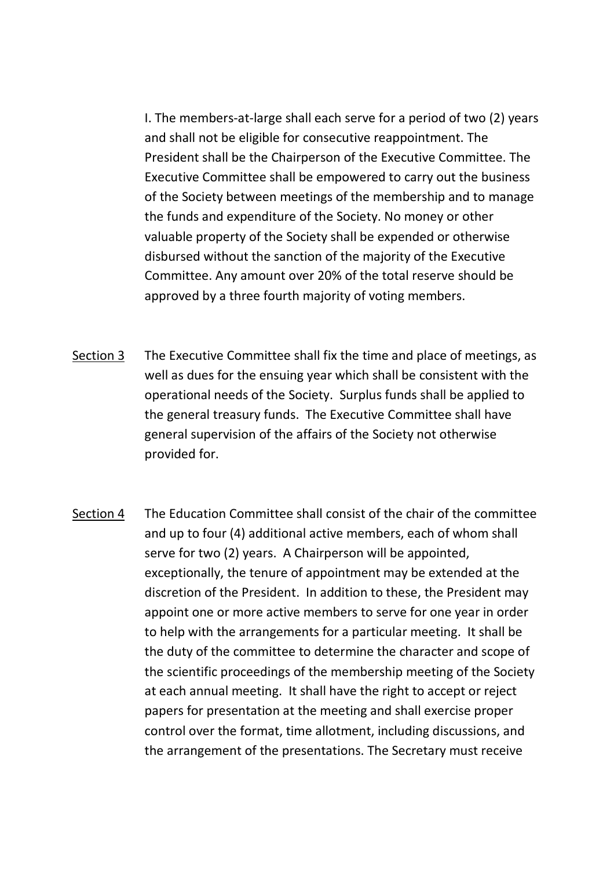I. The members-at-large shall each serve for a period of two (2) years and shall not be eligible for consecutive reappointment. The President shall be the Chairperson of the Executive Committee. The Executive Committee shall be empowered to carry out the business of the Society between meetings of the membership and to manage the funds and expenditure of the Society. No money or other valuable property of the Society shall be expended or otherwise disbursed without the sanction of the majority of the Executive Committee. Any amount over 20% of the total reserve should be approved by a three fourth majority of voting members.

- Section 3 The Executive Committee shall fix the time and place of meetings, as well as dues for the ensuing year which shall be consistent with the operational needs of the Society. Surplus funds shall be applied to the general treasury funds. The Executive Committee shall have general supervision of the affairs of the Society not otherwise provided for.
- Section 4 The Education Committee shall consist of the chair of the committee and up to four (4) additional active members, each of whom shall serve for two (2) years. A Chairperson will be appointed, exceptionally, the tenure of appointment may be extended at the discretion of the President. In addition to these, the President may appoint one or more active members to serve for one year in order to help with the arrangements for a particular meeting. It shall be the duty of the committee to determine the character and scope of the scientific proceedings of the membership meeting of the Society at each annual meeting. It shall have the right to accept or reject papers for presentation at the meeting and shall exercise proper control over the format, time allotment, including discussions, and the arrangement of the presentations. The Secretary must receive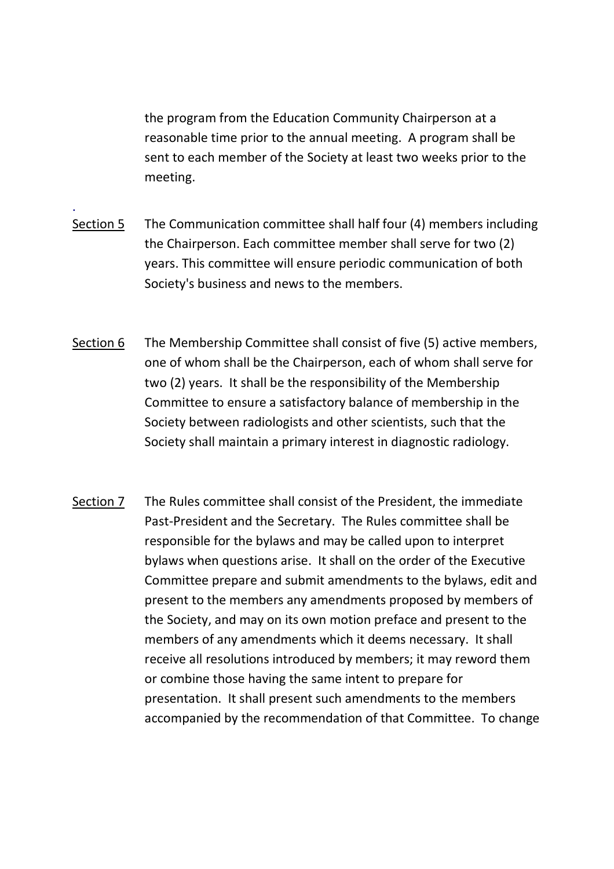the program from the Education Community Chairperson at a reasonable time prior to the annual meeting. A program shall be sent to each member of the Society at least two weeks prior to the meeting.

Section 5 The Communication committee shall half four (4) members including the Chairperson. Each committee member shall serve for two (2) years. This committee will ensure periodic communication of both Society's business and news to the members.

.

- Section 6 The Membership Committee shall consist of five (5) active members, one of whom shall be the Chairperson, each of whom shall serve for two (2) years. It shall be the responsibility of the Membership Committee to ensure a satisfactory balance of membership in the Society between radiologists and other scientists, such that the Society shall maintain a primary interest in diagnostic radiology.
- Section 7 The Rules committee shall consist of the President, the immediate Past-President and the Secretary. The Rules committee shall be responsible for the bylaws and may be called upon to interpret bylaws when questions arise. It shall on the order of the Executive Committee prepare and submit amendments to the bylaws, edit and present to the members any amendments proposed by members of the Society, and may on its own motion preface and present to the members of any amendments which it deems necessary. It shall receive all resolutions introduced by members; it may reword them or combine those having the same intent to prepare for presentation. It shall present such amendments to the members accompanied by the recommendation of that Committee. To change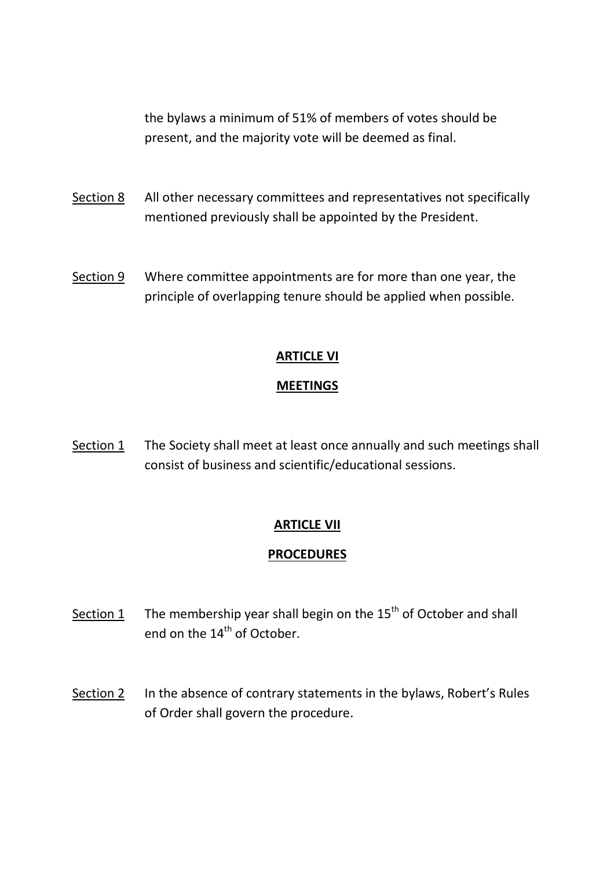the bylaws a minimum of 51% of members of votes should be present, and the majority vote will be deemed as final.

- Section 8 All other necessary committees and representatives not specifically mentioned previously shall be appointed by the President.
- Section 9 Where committee appointments are for more than one year, the principle of overlapping tenure should be applied when possible.

# **ARTICLE VI**

### **MEETINGS**

Section 1 The Society shall meet at least once annually and such meetings shall consist of business and scientific/educational sessions.

# **ARTICLE VII**

# **PROCEDURES**

- Section 1 The membership year shall begin on the  $15<sup>th</sup>$  of October and shall end on the 14<sup>th</sup> of October.
- Section 2 In the absence of contrary statements in the bylaws, Robert's Rules of Order shall govern the procedure.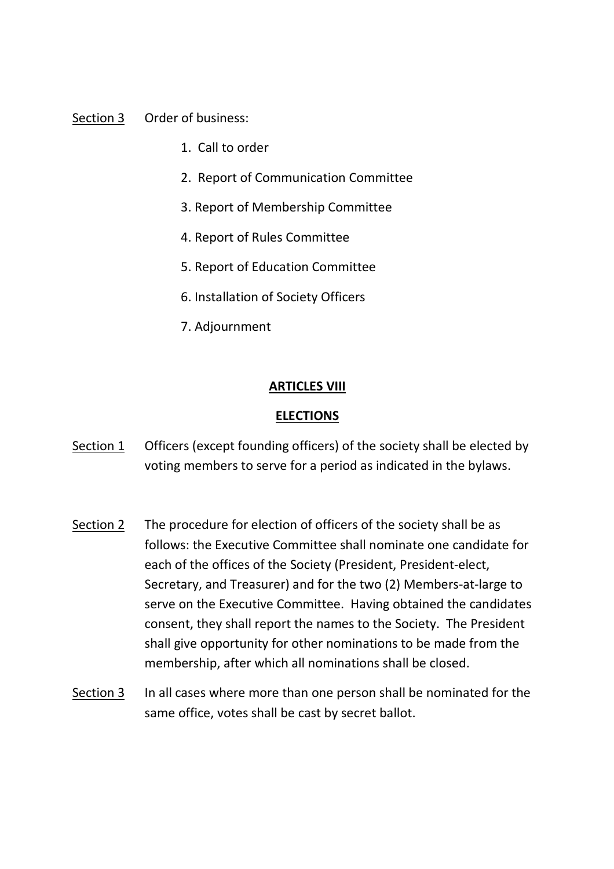#### Section 3 Order of business:

- 1. Call to order
- 2. Report of Communication Committee
- 3. Report of Membership Committee
- 4. Report of Rules Committee
- 5. Report of Education Committee
- 6. Installation of Society Officers
- 7. Adjournment

#### **ARTICLES VIII**

#### **ELECTIONS**

- Section 1 Officers (except founding officers) of the society shall be elected by voting members to serve for a period as indicated in the bylaws.
- Section 2 The procedure for election of officers of the society shall be as follows: the Executive Committee shall nominate one candidate for each of the offices of the Society (President, President-elect, Secretary, and Treasurer) and for the two (2) Members-at-large to serve on the Executive Committee. Having obtained the candidates consent, they shall report the names to the Society. The President shall give opportunity for other nominations to be made from the membership, after which all nominations shall be closed.
- Section 3 In all cases where more than one person shall be nominated for the same office, votes shall be cast by secret ballot.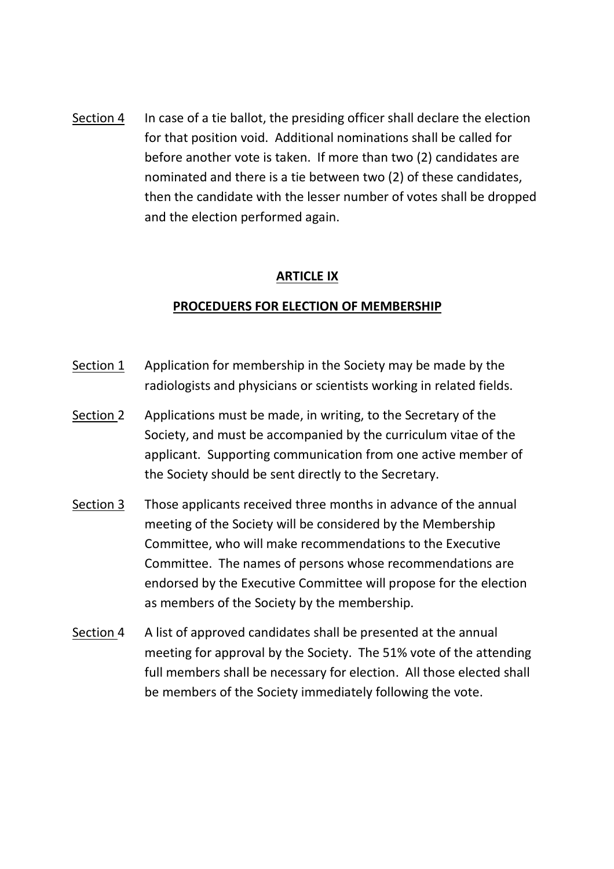Section 4 In case of a tie ballot, the presiding officer shall declare the election for that position void. Additional nominations shall be called for before another vote is taken. If more than two (2) candidates are nominated and there is a tie between two (2) of these candidates, then the candidate with the lesser number of votes shall be dropped and the election performed again.

#### **ARTICLE IX**

#### **PROCEDUERS FOR ELECTION OF MEMBERSHIP**

- Section  $1$  Application for membership in the Society may be made by the radiologists and physicians or scientists working in related fields.
- Section 2 Applications must be made, in writing, to the Secretary of the Society, and must be accompanied by the curriculum vitae of the applicant. Supporting communication from one active member of the Society should be sent directly to the Secretary.
- Section 3 Those applicants received three months in advance of the annual meeting of the Society will be considered by the Membership Committee, who will make recommendations to the Executive Committee. The names of persons whose recommendations are endorsed by the Executive Committee will propose for the election as members of the Society by the membership.
- Section 4 A list of approved candidates shall be presented at the annual meeting for approval by the Society. The 51% vote of the attending full members shall be necessary for election. All those elected shall be members of the Society immediately following the vote.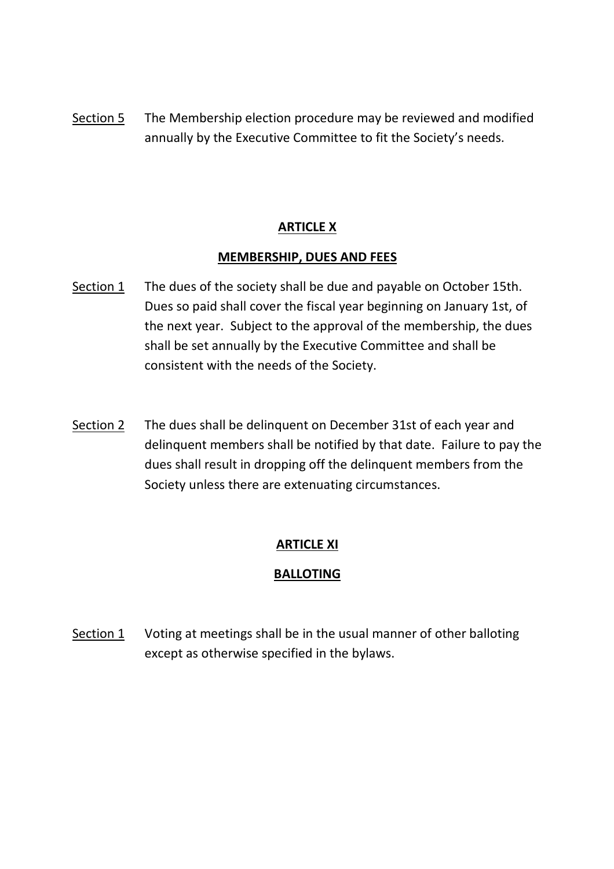Section 5 The Membership election procedure may be reviewed and modified annually by the Executive Committee to fit the Society's needs.

### **ARTICLE X**

#### **MEMBERSHIP, DUES AND FEES**

- Section 1 The dues of the society shall be due and payable on October 15th. Dues so paid shall cover the fiscal year beginning on January 1st, of the next year. Subject to the approval of the membership, the dues shall be set annually by the Executive Committee and shall be consistent with the needs of the Society.
- Section 2 The dues shall be delinquent on December 31st of each year and delinquent members shall be notified by that date. Failure to pay the dues shall result in dropping off the delinquent members from the Society unless there are extenuating circumstances.

# **ARTICLE XI**

# **BALLOTING**

Section 1 Voting at meetings shall be in the usual manner of other balloting except as otherwise specified in the bylaws.